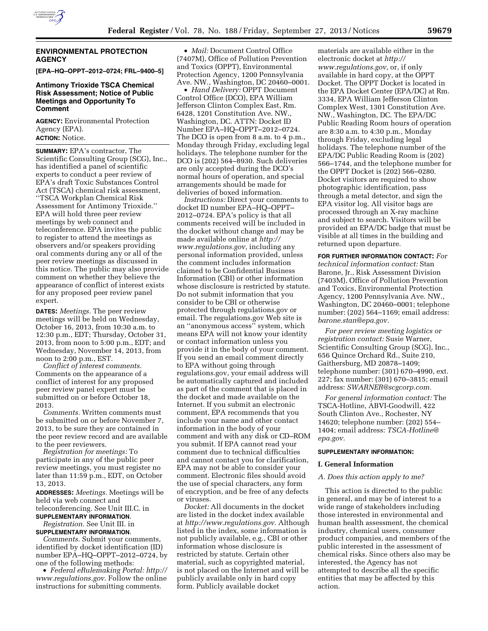

## **ENVIRONMENTAL PROTECTION AGENCY**

**[EPA–HQ–OPPT–2012–0724; FRL–9400–5]** 

## **Antimony Trioxide TSCA Chemical Risk Assessment; Notice of Public Meetings and Opportunity To Comment**

**AGENCY:** Environmental Protection Agency (EPA). **ACTION:** Notice.

**SUMMARY:** EPA's contractor, The Scientific Consulting Group (SCG), Inc., has identified a panel of scientific experts to conduct a peer review of EPA's draft Toxic Substances Control Act (TSCA) chemical risk assessment, ''TSCA Workplan Chemical Risk Assessment for Antimony Trioxide.'' EPA will hold three peer review meetings by web connect and teleconference. EPA invites the public to register to attend the meetings as observers and/or speakers providing oral comments during any or all of the peer review meetings as discussed in this notice. The public may also provide comment on whether they believe the appearance of conflict of interest exists for any proposed peer review panel expert.

**DATES:** *Meetings.* The peer review meetings will be held on Wednesday, October 16, 2013, from 10:30 a.m. to 12:30 p.m., EDT; Thursday, October 31, 2013, from noon to 5:00 p.m., EDT; and Wednesday, November 14, 2013, from noon to 2:00 p.m., EST.

*Conflict of interest comments.*  Comments on the appearance of a conflict of interest for any proposed peer review panel expert must be submitted on or before October 18, 2013.

*Comments.* Written comments must be submitted on or before November 7, 2013, to be sure they are contained in the peer review record and are available to the peer reviewers.

*Registration for meetings:* To participate in any of the public peer review meetings, you must register no later than 11:59 p.m., EDT, on October 13, 2013.

**ADDRESSES:** *Meetings.* Meetings will be held via web connect and teleconferencing. See Unit III.C. in

**SUPPLEMENTARY INFORMATION**. *Registration.* See Unit III. in **SUPPLEMENTARY INFORMATION**.

*Comments.* Submit your comments, identified by docket identification (ID) number EPA–HQ–OPPT–2012–0724, by one of the following methods:

• *Federal eRulemaking Portal: [http://](http://www.regulations.gov)  [www.regulations.gov.](http://www.regulations.gov)* Follow the online instructions for submitting comments.

• *Mail:* Document Control Office (7407M), Office of Pollution Prevention and Toxics (OPPT), Environmental Protection Agency, 1200 Pennsylvania Ave. NW., Washington, DC 20460–0001.

• *Hand Delivery:* OPPT Document Control Office (DCO), EPA William Jefferson Clinton Complex East, Rm. 6428, 1201 Constitution Ave. NW., Washington, DC. ATTN: Docket ID Number EPA–HQ–OPPT–2012–0724. The DCO is open from 8 a.m. to 4 p.m., Monday through Friday, excluding legal holidays. The telephone number for the DCO is (202) 564–8930. Such deliveries are only accepted during the DCO's normal hours of operation, and special arrangements should be made for deliveries of boxed information.

*Instructions:* Direct your comments to docket ID number EPA–HQ–OPPT– 2012–0724. EPA's policy is that all comments received will be included in the docket without change and may be made available online at *[http://](http://www.regulations.gov) [www.regulations.gov,](http://www.regulations.gov)* including any personal information provided, unless the comment includes information claimed to be Confidential Business Information (CBI) or other information whose disclosure is restricted by statute. Do not submit information that you consider to be CBI or otherwise protected through regulations.gov or email. The regulations.gov Web site is an ''anonymous access'' system, which means EPA will not know your identity or contact information unless you provide it in the body of your comment. If you send an email comment directly to EPA without going through regulations.gov, your email address will be automatically captured and included as part of the comment that is placed in the docket and made available on the Internet. If you submit an electronic comment, EPA recommends that you include your name and other contact information in the body of your comment and with any disk or CD–ROM you submit. If EPA cannot read your comment due to technical difficulties and cannot contact you for clarification, EPA may not be able to consider your comment. Electronic files should avoid the use of special characters, any form of encryption, and be free of any defects or viruses.

*Docket:* All documents in the docket are listed in the docket index available at *[http://www.regulations.gov.](http://www.regulations.gov)* Although listed in the index, some information is not publicly available, e.g., CBI or other information whose disclosure is restricted by statute. Certain other material, such as copyrighted material, is not placed on the Internet and will be publicly available only in hard copy form. Publicly available docket

materials are available either in the electronic docket at *[http://](http://www.regulations.gov) [www.regulations.gov,](http://www.regulations.gov)* or, if only available in hard copy, at the OPPT Docket. The OPPT Docket is located in the EPA Docket Center (EPA/DC) at Rm. 3334, EPA William Jefferson Clinton Complex West, 1301 Constitution Ave. NW., Washington, DC. The EPA/DC Public Reading Room hours of operation are 8:30 a.m. to 4:30 p.m., Monday through Friday, excluding legal holidays. The telephone number of the EPA/DC Public Reading Room is (202) 566–1744, and the telephone number for the OPPT Docket is (202) 566–0280. Docket visitors are required to show photographic identification, pass through a metal detector, and sign the EPA visitor log. All visitor bags are processed through an X-ray machine and subject to search. Visitors will be provided an EPA/DC badge that must be visible at all times in the building and returned upon departure.

**FOR FURTHER INFORMATION CONTACT:** *For technical information contact:* Stan Barone, Jr., Risk Assessment Division (7403M), Office of Pollution Prevention and Toxics, Environmental Protection Agency, 1200 Pennsylvania Ave. NW., Washington, DC 20460–0001; telephone number: (202) 564–1169; email address: *[barone.stan@epa.gov.](mailto:barone.stan@epa.gov)* 

*For peer review meeting logistics or registration contact:* Susie Warner, Scientific Consulting Group (SCG), Inc., 656 Quince Orchard Rd., Suite 210, Gaithersburg, MD 20878–1409; telephone number: (301) 670–4990, ext. 227; fax number: (301) 670–3815; email address: *[SWARNER@scgcorp.com.](mailto:SWARNER@scgcorp.com)* 

*For general information contact:* The TSCA-Hotline, ABVI-Goodwill, 422 South Clinton Ave., Rochester, NY 14620; telephone number: (202) 554– 1404; email address: *[TSCA-Hotline@](mailto:TSCA-Hotline@epa.gov) [epa.gov.](mailto:TSCA-Hotline@epa.gov)* 

## **SUPPLEMENTARY INFORMATION:**

### **I. General Information**

## *A. Does this action apply to me?*

This action is directed to the public in general, and may be of interest to a wide range of stakeholders including those interested in environmental and human health assessment, the chemical industry, chemical users, consumer product companies, and members of the public interested in the assessment of chemical risks. Since others also may be interested, the Agency has not attempted to describe all the specific entities that may be affected by this action.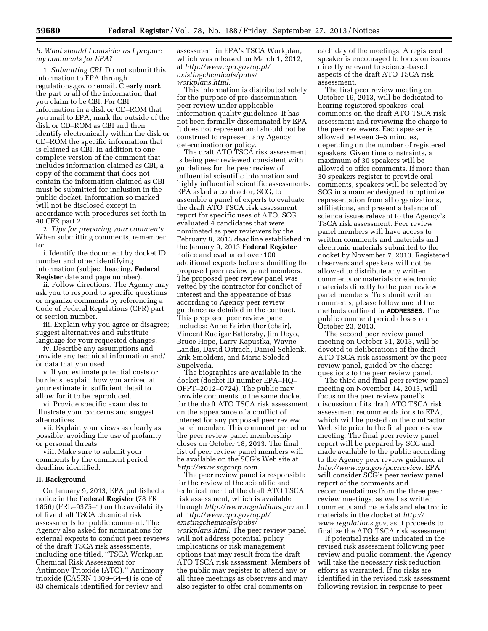# *B. What should I consider as I prepare my comments for EPA?*

1. *Submitting CBI.* Do not submit this information to EPA through regulations.gov or email. Clearly mark the part or all of the information that you claim to be CBI. For CBI information in a disk or CD–ROM that you mail to EPA, mark the outside of the disk or CD–ROM as CBI and then identify electronically within the disk or CD–ROM the specific information that is claimed as CBI. In addition to one complete version of the comment that includes information claimed as CBI, a copy of the comment that does not contain the information claimed as CBI must be submitted for inclusion in the public docket. Information so marked will not be disclosed except in accordance with procedures set forth in 40 CFR part 2.

2. *Tips for preparing your comments.*  When submitting comments, remember to:

i. Identify the document by docket ID number and other identifying information (subject heading, **Federal Register** date and page number).

ii. Follow directions. The Agency may ask you to respond to specific questions or organize comments by referencing a Code of Federal Regulations (CFR) part or section number.

iii. Explain why you agree or disagree; suggest alternatives and substitute language for your requested changes.

iv. Describe any assumptions and provide any technical information and/ or data that you used.

v. If you estimate potential costs or burdens, explain how you arrived at your estimate in sufficient detail to allow for it to be reproduced.

vi. Provide specific examples to illustrate your concerns and suggest alternatives.

vii. Explain your views as clearly as possible, avoiding the use of profanity or personal threats.

viii. Make sure to submit your comments by the comment period deadline identified.

## **II. Background**

On January 9, 2013, EPA published a notice in the **Federal Register** (78 FR 1856) (FRL–9375–1) on the availability of five draft TSCA chemical risk assessments for public comment. The Agency also asked for nominations for external experts to conduct peer reviews of the draft TSCA risk assessments, including one titled, ''TSCA Workplan Chemical Risk Assessment for Antimony Trioxide (ATO).'' Antimony trioxide (CASRN 1309–64–4) is one of 83 chemicals identified for review and

assessment in EPA's TSCA Workplan, which was released on March 1, 2012, at *[http://www.epa.gov/oppt/](http://www.epa.gov/oppt/existingchemicals/pubs/workplans.html) [existingchemicals/pubs/](http://www.epa.gov/oppt/existingchemicals/pubs/workplans.html) [workplans.html.](http://www.epa.gov/oppt/existingchemicals/pubs/workplans.html)* 

This information is distributed solely for the purpose of pre-dissemination peer review under applicable information quality guidelines. It has not been formally disseminated by EPA. It does not represent and should not be construed to represent any Agency determination or policy.

The draft ATO TSCA risk assessment is being peer reviewed consistent with guidelines for the peer review of influential scientific information and highly influential scientific assessments. EPA asked a contractor, SCG, to assemble a panel of experts to evaluate the draft ATO TSCA risk assessment report for specific uses of ATO. SCG evaluated 4 candidates that were nominated as peer reviewers by the February 8, 2013 deadline established in the January 9, 2013 **Federal Register**  notice and evaluated over 100 additional experts before submitting the proposed peer review panel members. The proposed peer review panel was vetted by the contractor for conflict of interest and the appearance of bias according to Agency peer review guidance as detailed in the contract. This proposed peer review panel includes: Anne Fairbrother (chair), Vincent Rudigar Battersby, Jim Deyo, Bruce Hope, Larry Kapustka, Wayne Landis, David Ostrach, Daniel Schlenk, Erik Smolders, and Maria Soledad Supelveda.

The biographies are available in the docket (docket ID number EPA–HQ– OPPT–2012–0724). The public may provide comments to the same docket for the draft ATO TSCA risk assessment on the appearance of a conflict of interest for any proposed peer review panel member. This comment period on the peer review panel membership closes on October 18, 2013. The final list of peer review panel members will be available on the SCG's Web site at *[http://www.scgcorp.com.](http://www.scgcorp.com)* 

The peer review panel is responsible for the review of the scientific and technical merit of the draft ATO TSCA risk assessment, which is available through *<http://www.regulations.gov>* and at h*[ttp://www.epa.gov/oppt/](http://www.epa.gov/oppt/existingchemicals/pubs/workplans.html) [existingchemicals/pubs/](http://www.epa.gov/oppt/existingchemicals/pubs/workplans.html) [workplans.html.](http://www.epa.gov/oppt/existingchemicals/pubs/workplans.html)* The peer review panel will not address potential policy implications or risk management options that may result from the draft ATO TSCA risk assessment. Members of the public may register to attend any or all three meetings as observers and may also register to offer oral comments on

each day of the meetings. A registered speaker is encouraged to focus on issues directly relevant to science-based aspects of the draft ATO TSCA risk assessment.

The first peer review meeting on October 16, 2013, will be dedicated to hearing registered speakers' oral comments on the draft ATO TSCA risk assessment and reviewing the charge to the peer reviewers. Each speaker is allowed between 3–5 minutes, depending on the number of registered speakers. Given time constraints, a maximum of 30 speakers will be allowed to offer comments. If more than 30 speakers register to provide oral comments, speakers will be selected by SCG in a manner designed to optimize representation from all organizations, affiliations, and present a balance of science issues relevant to the Agency's TSCA risk assessment. Peer review panel members will have access to written comments and materials and electronic materials submitted to the docket by November 7, 2013. Registered observers and speakers will not be allowed to distribute any written comments or materials or electronic materials directly to the peer review panel members. To submit written comments, please follow one of the methods outlined in **ADDRESSES**. The public comment period closes on October 23, 2013.

The second peer review panel meeting on October 31, 2013, will be devoted to deliberations of the draft ATO TSCA risk assessment by the peer review panel, guided by the charge questions to the peer review panel.

The third and final peer review panel meeting on November 14, 2013, will focus on the peer review panel's discussion of its draft ATO TSCA risk assessment recommendations to EPA, which will be posted on the contractor Web site prior to the final peer review meeting. The final peer review panel report will be prepared by SCG and made available to the public according to the Agency peer review guidance at *[http://www.epa.gov/peerrevie](http://www.epa.gov/peerreview)*w. EPA will consider SCG's peer review panel report of the comments and recommendations from the three peer review meetings, as well as written comments and materials and electronic materials in the docket at *[http://](http://www.regulations.gov) [www.regulations.gov,](http://www.regulations.gov)* as it proceeds to finalize the ATO TSCA risk assessment.

If potential risks are indicated in the revised risk assessment following peer review and public comment, the Agency will take the necessary risk reduction efforts as warranted. If no risks are identified in the revised risk assessment following revision in response to peer